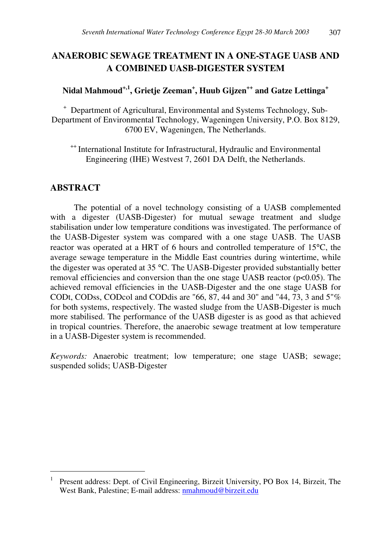# **ANAEROBIC SEWAGE TREATMENT IN A ONE-STAGE UASB AND A COMBINED UASB-DIGESTER SYSTEM**

# **Nidal Mahmoud +,1 , Grietje Zeeman + , Huub Gijzen ++ and Gatze Lettinga +**

<sup>+</sup> Department of Agricultural, Environmental and Systems Technology, Sub-Department of Environmental Technology, Wageningen University, P.O. Box 8129, 6700 EV, Wageningen, The Netherlands.

<sup>++</sup> International Institute for Infrastructural, Hydraulic and Environmental Engineering (IHE) Westvest 7, 2601 DA Delft, the Netherlands.

## **ABSTRACT**

The potential of a novel technology consisting of a UASB complemented with a digester (UASB-Digester) for mutual sewage treatment and sludge stabilisation under low temperature conditions was investigated. The performance of the UASB-Digester system was compared with a one stage UASB. The UASB reactor was operated at a HRT of 6 hours and controlled temperature of 15°C, the average sewage temperature in the Middle East countries during wintertime, while the digester was operated at 35 °C. The UASB-Digester provided substantially better removal efficiencies and conversion than the one stage UASB reactor (p<0.05). The achieved removal efficiencies in the UASB-Digester and the one stage UASB for CODt, CODss, CODcol and CODdis are "66, 87, 44 and 30" and "44, 73, 3 and 5"% for both systems, respectively. The wasted sludge from the UASB-Digester is much more stabilised. The performance of the UASB digester is as good as that achieved in tropical countries. Therefore, the anaerobic sewage treatment at low temperature in a UASB-Digester system is recommended.

*Keywords:* Anaerobic treatment; low temperature; one stage UASB; sewage; suspended solids; UASB-Digester

<sup>1</sup> Present address: Dept. of Civil Engineering, Birzeit University, PO Box 14, Birzeit, The West Bank, Palestine; E-mail address: nmahmoud@birzeit.edu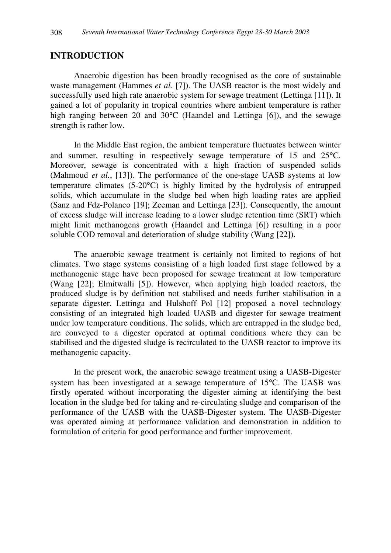## **INTRODUCTION**

Anaerobic digestion has been broadly recognised as the core of sustainable waste management (Hammes *et al.* [7]). The UASB reactor is the most widely and successfully used high rate anaerobic system for sewage treatment (Lettinga [11]). It gained a lot of popularity in tropical countries where ambient temperature is rather high ranging between 20 and 30°C (Haandel and Lettinga [6]), and the sewage strength is rather low.

In the Middle East region, the ambient temperature fluctuates between winter and summer, resulting in respectively sewage temperature of 15 and 25°C. Moreover, sewage is concentrated with a high fraction of suspended solids (Mahmoud *et al.*, [13]). The performance of the one-stage UASB systems at low temperature climates (5-20°C) is highly limited by the hydrolysis of entrapped solids, which accumulate in the sludge bed when high loading rates are applied (Sanz and Fdz-Polanco [19]; Zeeman and Lettinga [23]). Consequently, the amount of excess sludge will increase leading to a lower sludge retention time (SRT) which might limit methanogens growth (Haandel and Lettinga [6]) resulting in a poor soluble COD removal and deterioration of sludge stability (Wang [22]).

The anaerobic sewage treatment is certainly not limited to regions of hot climates. Two stage systems consisting of a high loaded first stage followed by a methanogenic stage have been proposed for sewage treatment at low temperature (Wang [22]; Elmitwalli [5]). However, when applying high loaded reactors, the produced sludge is by definition not stabilised and needs further stabilisation in a separate digester. Lettinga and Hulshoff Pol [12] proposed a novel technology consisting of an integrated high loaded UASB and digester for sewage treatment under low temperature conditions. The solids, which are entrapped in the sludge bed, are conveyed to a digester operated at optimal conditions where they can be stabilised and the digested sludge is recirculated to the UASB reactor to improve its methanogenic capacity.

In the present work, the anaerobic sewage treatment using a UASB-Digester system has been investigated at a sewage temperature of 15°C. The UASB was firstly operated without incorporating the digester aiming at identifying the best location in the sludge bed for taking and re-circulating sludge and comparison of the performance of the UASB with the UASB-Digester system. The UASB-Digester was operated aiming at performance validation and demonstration in addition to formulation of criteria for good performance and further improvement.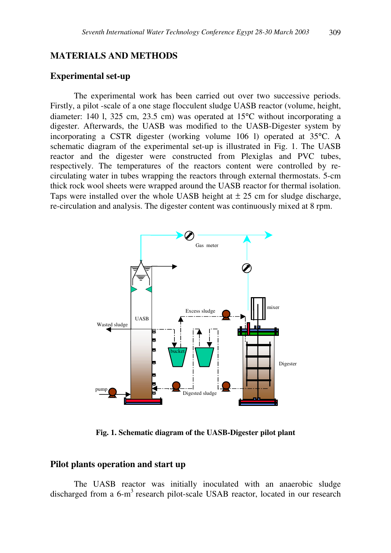### **MATERIALS AND METHODS**

#### **Experimental set-up**

The experimental work has been carried out over two successive periods. Firstly, a pilot -scale of a one stage flocculent sludge UASB reactor (volume, height, diameter: 140 l, 325 cm, 23.5 cm) was operated at 15°C without incorporating a digester. Afterwards, the UASB was modified to the UASB-Digester system by incorporating a CSTR digester (working volume 106 l) operated at 35°C. A schematic diagram of the experimental set-up is illustrated in Fig. 1. The UASB reactor and the digester were constructed from Plexiglas and PVC tubes, respectively. The temperatures of the reactors content were controlled by recirculating water in tubes wrapping the reactors through external thermostats. 5-cm thick rock wool sheets were wrapped around the UASB reactor for thermal isolation. Taps were installed over the whole UASB height at  $\pm 25$  cm for sludge discharge, re-circulation and analysis. The digester content was continuously mixed at 8 rpm.



**Fig. 1. Schematic diagram of the UASB-Digester pilot plant**

#### **Pilot plants operation and start up**

The UASB reactor was initially inoculated with an anaerobic sludge discharged from a 6-m<sup>3</sup> research pilot-scale USAB reactor, located in our research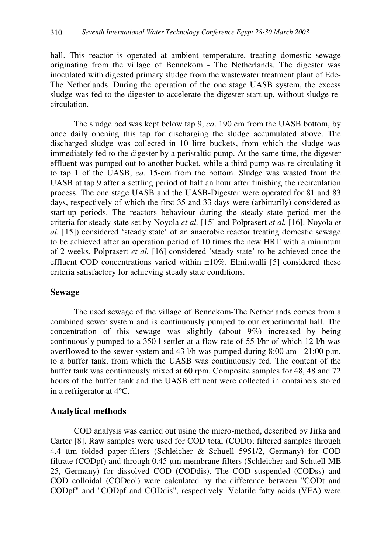hall. This reactor is operated at ambient temperature, treating domestic sewage originating from the village of Bennekom - The Netherlands. The digester was inoculated with digested primary sludge from the wastewater treatment plant of Ede-The Netherlands. During the operation of the one stage UASB system, the excess sludge was fed to the digester to accelerate the digester start up, without sludge recirculation.

The sludge bed was kept below tap 9, *ca*. 190 cm from the UASB bottom, by once daily opening this tap for discharging the sludge accumulated above. The discharged sludge was collected in 10 litre buckets, from which the sludge was immediately fed to the digester by a peristaltic pump. At the same time, the digester effluent was pumped out to another bucket, while a third pump was re-circulating it to tap 1 of the UASB, *ca*. 15-cm from the bottom. Sludge was wasted from the UASB at tap 9 after a settling period of half an hour after finishing the recirculation process. The one stage UASB and the UASB-Digester were operated for 81 and 83 days, respectively of which the first 35 and 33 days were (arbitrarily) considered as start-up periods. The reactors behaviour during the steady state period met the criteria for steady state set by Noyola *et al.* [15] and Polprasert *et al.* [16]. Noyola *et al.* [15]) considered 'steady state' of an anaerobic reactor treating domestic sewage to be achieved after an operation period of 10 times the new HRT with a minimum of 2 weeks. Polprasert *et al.* [16] considered 'steady state' to be achieved once the effluent COD concentrations varied within ±10%. Elmitwalli [5] considered these criteria satisfactory for achieving steady state conditions.

## **Sewage**

The used sewage of the village of Bennekom-The Netherlands comes from a combined sewer system and is continuously pumped to our experimental hall. The concentration of this sewage was slightly (about 9%) increased by being continuously pumped to a 350 l settler at a flow rate of 55 l/hr of which 12 l/h was overflowed to the sewer system and 43 l/h was pumped during 8:00 am - 21:00 p.m. to a buffer tank, from which the UASB was continuously fed. The content of the buffer tank was continuously mixed at 60 rpm. Composite samples for 48, 48 and 72 hours of the buffer tank and the UASB effluent were collected in containers stored in a refrigerator at 4°C.

## **Analytical methods**

COD analysis was carried out using the micro-method, described by Jirka and Carter [8]. Raw samples were used for COD total (CODt); filtered samples through 4.4 µm folded paper-filters (Schleicher & Schuell 5951/2, Germany) for COD filtrate (CODpf) and through 0.45 µm membrane filters (Schleicher and Schuell ME 25, Germany) for dissolved COD (CODdis). The COD suspended (CODss) and COD colloidal (CODcol) were calculated by the difference between "CODt and CODpf" and "CODpf and CODdis", respectively. Volatile fatty acids (VFA) were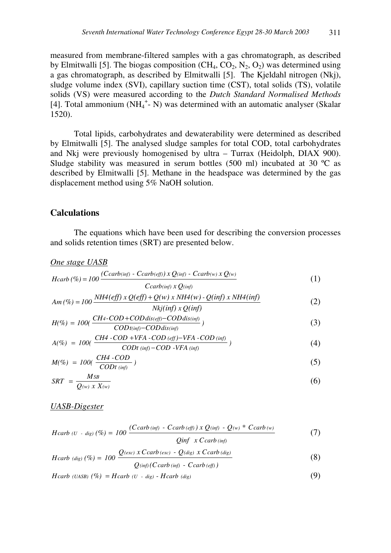measured from membrane-filtered samples with a gas chromatograph, as described by Elmitwalli [5]. The biogas composition  $(CH_4, CO_2, N_2, O_2)$  was determined using a gas chromatograph, as described by Elmitwalli [5]. The Kjeldahl nitrogen (Nkj), sludge volume index (SVI), capillary suction time (CST), total solids (TS), volatile solids (VS) were measured according to the *Dutch Standard Normalised Methods* [4]. Total ammonium (NH<sub>4</sub><sup>+</sup>- N) was determined with an automatic analyser (Skalar 1520).

Total lipids, carbohydrates and dewaterability were determined as described by Elmitwalli [5]. The analysed sludge samples for total COD, total carbohydrates and Nkj were previously homogenised by ultra – Turrax (Heidolph, DIAX 900). Sludge stability was measured in serum bottles (500 ml) incubated at 30 ºC as described by Elmitwalli [5]. Methane in the headspace was determined by the gas displacement method using 5% NaOH solution.

### **Calculations**

The equations which have been used for describing the conversion processes and solids retention times (SRT) are presented below.

#### *One stage UASB*

$$
Hcarb\left(\% \right) = 100 \frac{(Ccarb(\text{inf}) - Ccarb(\text{eff})) \times Q(\text{inf}) - Ccarb(\text{w}) \times Q(\text{w})}{Ccarb(\text{inf}) \times Q(\text{inf})}
$$
(1)

$$
Am\left(\% \right) = 100 \frac{NH4\left(\text{eff}\right) \times Q\left(\text{eff}\right) + Q(w) \times NH4(w) - Q(\text{inf}) \times NH4(\text{inf})}{Nkj(\text{inf}) \times Q(\text{inf})}
$$
\n<sup>(2)</sup>

$$
H(\%) = 100(\frac{CH4\text{-} COD + COD \, \text{dis}(\text{eff}) - COD \, \text{dis}(\text{inf})}{COD \, \text{t}( \text{inf}) - COD \, \text{dis}(\text{inf})})
$$
\n
$$
\tag{3}
$$

$$
A(\%) = 100(\frac{CH4 \cdot COD + VFA \cdot COD \cdot (eff) - VFA \cdot COD \cdot (inf)}{CDt \cdot (inf) - COD \cdot VFA \cdot (inf)} ) \tag{4}
$$

$$
M(\%) = 100(\frac{CH4 \cdot COD}{CDt \text{ (inf)}})
$$
\n
$$
\tag{5}
$$

$$
SRT = \frac{MSB}{Q^{(w)} \, X \, X^{(w)}}\tag{6}
$$

#### *UASB-Digester*

$$
Hcarb (U - dig) (%) = 100 \frac{(C carb (inf) - C carb (eff)) x Q (inf) - Q (w) * C carb (w)}{Q inf x C carb (inf)}
$$
(7)

$$
Hcarb (dig) (%) = 100 \frac{Q(exc) \times Ccarb (exc) - Q(dig) \times Ccarb (dig)}{}
$$
 (8)

$$
Q(\text{inf}) (C \text{carb} (\text{inf}) - C \text{carb} (\text{eff}))
$$

$$
Hcarb (UASB) (%) = Hcarb (U - dig) - Hcarb (dig)
$$
\n(9)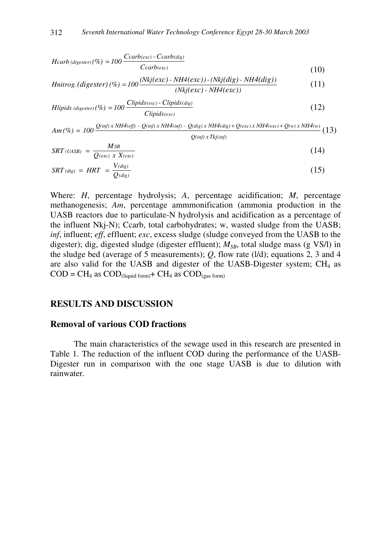$$
Hcarb \, (digester) \, (\%) = 100 \, \frac{Ccarb(exc) \cdot Ccarb(dig)}{Ccarb(exc)} \tag{10}
$$

$$
Initrog. (digester) (\%) = 100 \frac{(Nkj(exc) - NH4(exc)) - (Nkj(dig) - NH4(dig))}{(Nkj(exc) - NH4(exc))}
$$
(11)

$$
Hlipids \ (digester) \, (\%) = 100 \, \frac{Clipids(exc) - Clipids(dig)}{Clipids(exc)} \tag{12}
$$

$$
Am\left(\%) = 100 \frac{Q(\text{inf}) \times NH4(\text{eff}) - Q(\text{inf}) \times NH4(\text{inf}) - Q(\text{dig}) \times NH4(\text{dig}) + Q(\text{exc}) \times NH4(\text{exc}) + Q(\text{w}) \times NH4(\text{w})}{Q(\text{inf}) \times Tk(\text{inf})}
$$
(13)

$$
SRT\left( \text{UASB} \right) = \frac{MSB}{Q\left( \text{exc} \right) \left( X \right) X\left( \text{exc} \right)} \tag{14}
$$

$$
SRT \, (dig) \ = \ HRT \ = \ \frac{V \, (dig)}{Q \, (dig)} \tag{15}
$$

Where: *H*, percentage hydrolysis; *A*, percentage acidification; *M*, percentage methanogenesis; *Am*, percentage ammmonification (ammonia production in the UASB reactors due to particulate-N hydrolysis and acidification as a percentage of the influent Nkj-N); Ccarb, total carbohydrates; w, wasted sludge from the UASB; *inf*, influent; *eff*, effluent; *exc*, excess sludge (sludge conveyed from the UASB to the digester); dig, digested sludge (digester effluent);  $M_{SB}$ , total sludge mass (g VS/l) in the sludge bed (average of 5 measurements); *Q*, flow rate (l/d); equations 2, 3 and 4 are also valid for the UASB and digester of the UASB-Digester system;  $CH_4$  as  $\text{COD} = \text{CH}_4$  as  $\text{COD}_{\text{(liquid form)}} + \text{CH}_4$  as  $\text{COD}_{\text{(gas form)}}$ 

#### **RESULTS AND DISCUSSION**

### **Removal of various COD fractions**

The main characteristics of the sewage used in this research are presented in Table 1. The reduction of the influent COD during the performance of the UASB-Digester run in comparison with the one stage UASB is due to dilution with rainwater.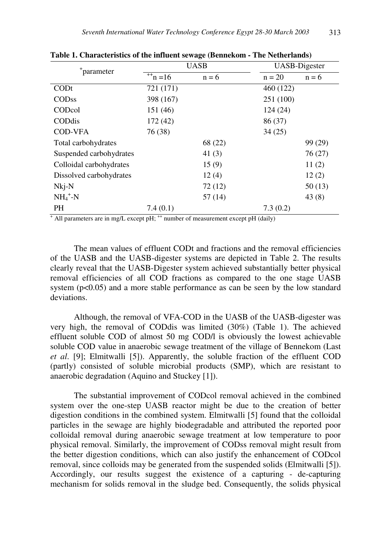|                         |                      | <b>UASB</b> | <b>UASB-Digester</b> |         |  |
|-------------------------|----------------------|-------------|----------------------|---------|--|
| *parameter              |                      |             |                      |         |  |
|                         | $\overline{+}$ n =16 | $n = 6$     | $n = 20$             | $n = 6$ |  |
| CODt                    | 721 (171)            |             | 460 (122)            |         |  |
| <b>CODss</b>            | 398 (167)            |             | 251 (100)            |         |  |
| CODcol                  | 151 (46)             |             | 124(24)              |         |  |
| CODdis                  | 172(42)              |             | 86 (37)              |         |  |
| <b>COD-VFA</b>          | 76 (38)              |             | 34(25)               |         |  |
| Total carbohydrates     |                      | 68 (22)     |                      | 99 (29) |  |
| Suspended carbohydrates |                      | 41 $(3)$    |                      | 76(27)  |  |
| Colloidal carbohydrates |                      | 15(9)       |                      | 11(2)   |  |
| Dissolved carbohydrates |                      | 12(4)       |                      | 12(2)   |  |
| $Nkj-N$                 |                      | 72(12)      |                      | 50(13)  |  |
| $NH_4^+$ -N             |                      | 57(14)      |                      | 43(8)   |  |
| <b>PH</b>               | 7.4(0.1)             |             | 7.3(0.2)             |         |  |

**Table 1. Characteristics of the influent sewage (Bennekom - The Netherlands)**

<sup>+</sup> All parameters are in mg/L except pH; <sup>++</sup> number of measurement except pH (daily)

The mean values of effluent CODt and fractions and the removal efficiencies of the UASB and the UASB-digester systems are depicted in Table 2. The results clearly reveal that the UASB-Digester system achieved substantially better physical removal efficiencies of all COD fractions as compared to the one stage UASB system  $(p<0.05)$  and a more stable performance as can be seen by the low standard deviations.

Although, the removal of VFA-COD in the UASB of the UASB-digester was very high, the removal of CODdis was limited (30%) (Table 1). The achieved effluent soluble COD of almost 50 mg COD/l is obviously the lowest achievable soluble COD value in anaerobic sewage treatment of the village of Bennekom (Last *et al*. [9]; Elmitwalli [5]). Apparently, the soluble fraction of the effluent COD (partly) consisted of soluble microbial products (SMP), which are resistant to anaerobic degradation (Aquino and Stuckey [1]).

The substantial improvement of CODcol removal achieved in the combined system over the one-step UASB reactor might be due to the creation of better digestion conditions in the combined system. Elmitwalli [5] found that the colloidal particles in the sewage are highly biodegradable and attributed the reported poor colloidal removal during anaerobic sewage treatment at low temperature to poor physical removal. Similarly, the improvement of CODss removal might result from the better digestion conditions, which can also justify the enhancement of CODcol removal, since colloids may be generated from the suspended solids (Elmitwalli [5]). Accordingly, our results suggest the existence of a capturing - de-capturing mechanism for solids removal in the sludge bed. Consequently, the solids physical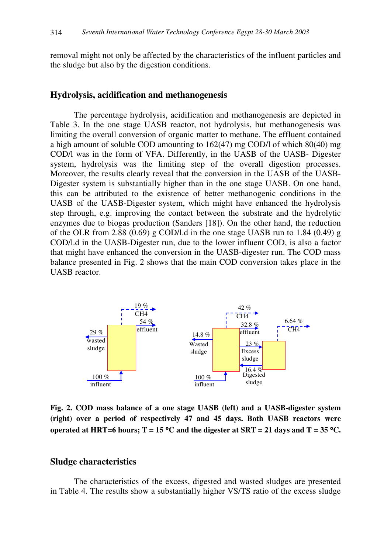removal might not only be affected by the characteristics of the influent particles and the sludge but also by the digestion conditions.

#### **Hydrolysis, acidification and methanogenesis**

The percentage hydrolysis, acidification and methanogenesis are depicted in Table 3. In the one stage UASB reactor, not hydrolysis, but methanogenesis was limiting the overall conversion of organic matter to methane. The effluent contained a high amount of soluble COD amounting to 162(47) mg COD/l of which 80(40) mg COD/l was in the form of VFA. Differently, in the UASB of the UASB- Digester system, hydrolysis was the limiting step of the overall digestion processes. Moreover, the results clearly reveal that the conversion in the UASB of the UASB-Digester system is substantially higher than in the one stage UASB. On one hand, this can be attributed to the existence of better methanogenic conditions in the UASB of the UASB-Digester system, which might have enhanced the hydrolysis step through, e.g. improving the contact between the substrate and the hydrolytic enzymes due to biogas production (Sanders [18]). On the other hand, the reduction of the OLR from 2.88 (0.69) g COD/l.d in the one stage UASB run to 1.84 (0.49) g COD/l.d in the UASB-Digester run, due to the lower influent COD, is also a factor that might have enhanced the conversion in the UASB-digester run. The COD mass balance presented in Fig. 2 shows that the main COD conversion takes place in the UASB reactor.



**Fig. 2. COD mass balance of a one stage UASB (left) and a UASB-digester system (right) over a period of respectively 47 and 45 days. Both UASB reactors were** operated at HRT=6 hours;  $T = 15 °C$  and the digester at SRT = 21 days and  $T = 35 °C$ .

#### **Sludge characteristics**

The characteristics of the excess, digested and wasted sludges are presented in Table 4. The results show a substantially higher VS/TS ratio of the excess sludge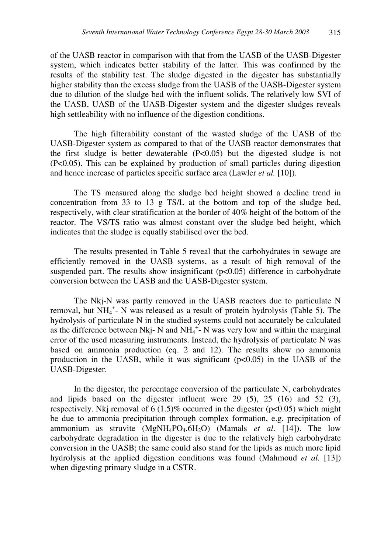of the UASB reactor in comparison with that from the UASB of the UASB-Digester system, which indicates better stability of the latter. This was confirmed by the results of the stability test. The sludge digested in the digester has substantially higher stability than the excess sludge from the UASB of the UASB-Digester system due to dilution of the sludge bed with the influent solids. The relatively low SVI of the UASB, UASB of the UASB-Digester system and the digester sludges reveals high settleability with no influence of the digestion conditions.

The high filterability constant of the wasted sludge of the UASB of the UASB-Digester system as compared to that of the UASB reactor demonstrates that the first sludge is better dewaterable (P<0.05) but the digested sludge is not (P<0.05). This can be explained by production of small particles during digestion and hence increase of particles specific surface area (Lawler *et al.* [10]).

The TS measured along the sludge bed height showed a decline trend in concentration from 33 to 13 g TS/L at the bottom and top of the sludge bed, respectively, with clear stratification at the border of 40% height of the bottom of the reactor. The VS/TS ratio was almost constant over the sludge bed height, which indicates that the sludge is equally stabilised over the bed.

The results presented in Table 5 reveal that the carbohydrates in sewage are efficiently removed in the UASB systems, as a result of high removal of the suspended part. The results show insignificant (p<0.05) difference in carbohydrate conversion between the UASB and the UASB-Digester system.

The Nkj-N was partly removed in the UASB reactors due to particulate N removal, but  $NH_4^+$ - N was released as a result of protein hydrolysis (Table 5). The hydrolysis of particulate N in the studied systems could not accurately be calculated as the difference between Nkj- N and  $NH_4^+$ - N was very low and within the marginal error of the used measuring instruments. Instead, the hydrolysis of particulate N was based on ammonia production (eq. 2 and 12). The results show no ammonia production in the UASB, while it was significant  $(p<0.05)$  in the UASB of the UASB-Digester.

In the digester, the percentage conversion of the particulate N, carbohydrates and lipids based on the digester influent were 29 (5), 25 (16) and 52 (3), respectively. Nkj removal of  $6 (1.5)$ % occurred in the digester ( $p<0.05$ ) which might be due to ammonia precipitation through complex formation, e.g. precipitation of ammonium as struvite  $(MgNH_4PO_4.6H_2O)$  (Mamals *et al.* [14]). The low carbohydrate degradation in the digester is due to the relatively high carbohydrate conversion in the UASB; the same could also stand for the lipids as much more lipid hydrolysis at the applied digestion conditions was found (Mahmoud *et al.* [13]) when digesting primary sludge in a CSTR.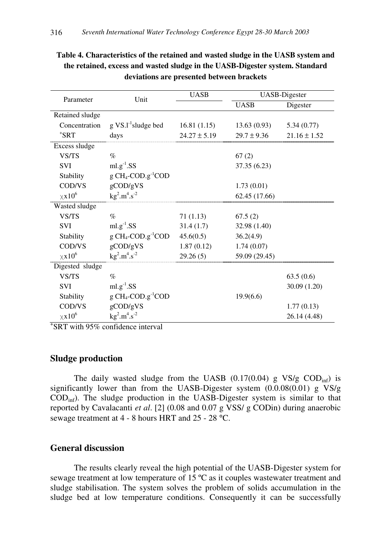| Parameter                 | Unit                                     | <b>UASB</b>      | <b>UASB-Digester</b> |                  |  |
|---------------------------|------------------------------------------|------------------|----------------------|------------------|--|
|                           |                                          |                  | <b>UASB</b>          | Digester         |  |
| Retained sludge           |                                          |                  |                      |                  |  |
| Concentration             | $g \text{ VS.} \text{1}^{-1}$ sludge bed | 16.81(1.15)      | 13.63(0.93)          | 5.34(0.77)       |  |
| $*$ SRT                   | days                                     | $24.27 \pm 5.19$ | $29.7 \pm 9.36$      | $21.16 \pm 1.52$ |  |
| Excess sludge             |                                          |                  |                      |                  |  |
| VS/TS                     | $\%$                                     |                  | 67(2)                |                  |  |
| <b>SVI</b>                | $ml.g^{-1}.SS$                           |                  | 37.35 (6.23)         |                  |  |
| Stability                 | $g CH_4$ -COD. $g^{-1}$ COD              |                  |                      |                  |  |
| COD/VS                    | $g$ COD/ $g$ VS                          |                  | 1.73(0.01)           |                  |  |
| $\times$ x10 <sup>6</sup> | $kg^2.m^4.s^{-2}$                        |                  | 62.45 (17.66)        |                  |  |
| Wasted sludge             |                                          |                  |                      |                  |  |
| VS/TS                     | $\%$                                     | 71(1.13)         | 67.5(2)              |                  |  |
| <b>SVI</b>                | $ml.g^{-1}.SS$                           | 31.4(1.7)        | 32.98 (1.40)         |                  |  |
| Stability                 | $g CH_4$ -COD. $g^{-1}$ COD              | 45.6(0.5)        | 36.2(4.9)            |                  |  |
| COD/VS                    | $g$ COD/ $g$ VS                          | 1.87(0.12)       | 1.74(0.07)           |                  |  |
| $\times$ x10 <sup>6</sup> | $kg^2.m^4.s^{-2}$                        | 29.26(5)         | 59.09 (29.45)        |                  |  |
| Digested sludge           |                                          |                  |                      |                  |  |
| VS/TS                     | $\%$                                     |                  |                      | 63.5(0.6)        |  |
| <b>SVI</b>                | $ml.g^{-1}.SS$                           |                  |                      | 30.09 (1.20)     |  |
| Stability                 | $g CH_4$ -COD. $g^{-1}$ COD              |                  | 19.9(6.6)            |                  |  |
| COD/VS                    | $g$ COD/ $g$ VS                          |                  |                      | 1.77(0.13)       |  |
| $\times$ x10 <sup>6</sup> | $kg^2.m^4.s^{-2}$                        |                  |                      | 26.14 (4.48)     |  |

**Table 4. Characteristics of the retained and wasted sludge in the UASB system and the retained, excess and wasted sludge in the UASB-Digester system. Standard deviations are presented between brackets**

+ SRT with 95% confidence interval

### **Sludge production**

The daily wasted sludge from the UASB  $(0.17(0.04)$  g VS/g COD<sub>inf</sub>) is significantly lower than from the UASB-Digester system (0.0.08(0.01) g VS/g CODinf). The sludge production in the UASB-Digester system is similar to that reported by Cavalacanti *et al*. [2] (0.08 and 0.07 g VSS/ g CODin) during anaerobic sewage treatment at 4 - 8 hours HRT and 25 - 28 °C.

### **General discussion**

The results clearly reveal the high potential of the UASB-Digester system for sewage treatment at low temperature of 15 ºC as it couples wastewater treatment and sludge stabilisation. The system solves the problem of solids accumulation in the sludge bed at low temperature conditions. Consequently it can be successfully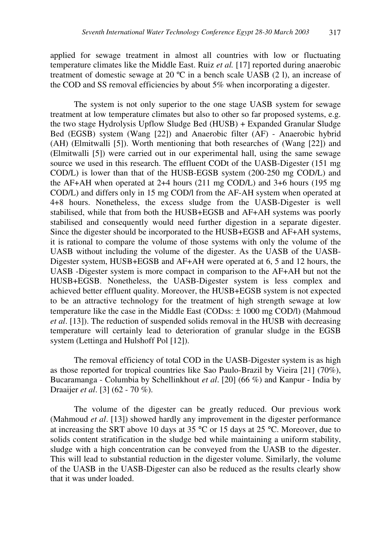applied for sewage treatment in almost all countries with low or fluctuating temperature climates like the Middle East. Ruiz *et al.* [17] reported during anaerobic treatment of domestic sewage at 20 ºC in a bench scale UASB (2 l), an increase of the COD and SS removal efficiencies by about 5% when incorporating a digester.

The system is not only superior to the one stage UASB system for sewage treatment at low temperature climates but also to other so far proposed systems, e.g. the two stage Hydrolysis Upflow Sludge Bed (HUSB) + Expanded Granular Sludge Bed (EGSB) system (Wang [22]) and Anaerobic filter (AF) - Anaerobic hybrid (AH) (Elmitwalli [5]). Worth mentioning that both researches of (Wang [22]) and (Elmitwalli [5]) were carried out in our experimental hall, using the same sewage source we used in this research. The effluent CODt of the UASB-Digester (151 mg COD/L) is lower than that of the HUSB-EGSB system (200-250 mg COD/L) and the AF+AH when operated at 2+4 hours (211 mg COD/L) and 3+6 hours (195 mg COD/L) and differs only in 15 mg COD/l from the AF-AH system when operated at 4+8 hours. Nonetheless, the excess sludge from the UASB-Digester is well stabilised, while that from both the HUSB+EGSB and AF+AH systems was poorly stabilised and consequently would need further digestion in a separate digester. Since the digester should be incorporated to the HUSB+EGSB and AF+AH systems, it is rational to compare the volume of those systems with only the volume of the UASB without including the volume of the digester. As the UASB of the UASB-Digester system, HUSB+EGSB and AF+AH were operated at 6, 5 and 12 hours, the UASB -Digester system is more compact in comparison to the AF+AH but not the HUSB+EGSB. Nonetheless, the UASB-Digester system is less complex and achieved better effluent quality. Moreover, the HUSB+EGSB system is not expected to be an attractive technology for the treatment of high strength sewage at low temperature like the case in the Middle East (CODss:  $\pm$  1000 mg COD/l) (Mahmoud *et al*. [13]). The reduction of suspended solids removal in the HUSB with decreasing temperature will certainly lead to deterioration of granular sludge in the EGSB system (Lettinga and Hulshoff Pol [12]).

The removal efficiency of total COD in the UASB-Digester system is as high as those reported for tropical countries like Sao Paulo-Brazil by Vieira [21] (70%), Bucaramanga - Columbia by Schellinkhout *et al*. [20] (66 %) and Kanpur - India by Draaijer *et al*. [3] (62 - 70 %).

The volume of the digester can be greatly reduced. Our previous work (Mahmoud *et al*. [13]) showed hardly any improvement in the digester performance at increasing the SRT above 10 days at 35 °C or 15 days at 25 °C. Moreover, due to solids content stratification in the sludge bed while maintaining a uniform stability, sludge with a high concentration can be conveyed from the UASB to the digester. This will lead to substantial reduction in the digester volume. Similarly, the volume of the UASB in the UASB-Digester can also be reduced as the results clearly show that it was under loaded.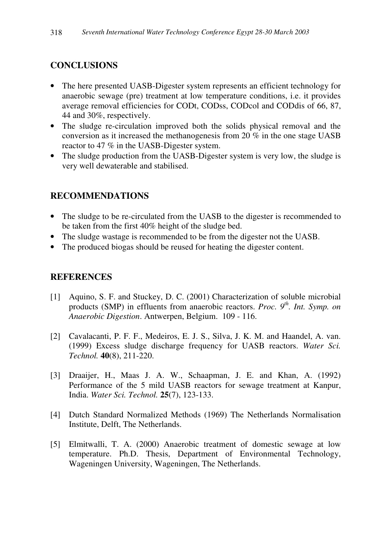# **CONCLUSIONS**

- The here presented UASB-Digester system represents an efficient technology for anaerobic sewage (pre) treatment at low temperature conditions, i.e. it provides average removal efficiencies for CODt, CODss, CODcol and CODdis of 66, 87, 44 and 30%, respectively.
- The sludge re-circulation improved both the solids physical removal and the conversion as it increased the methanogenesis from 20 % in the one stage UASB reactor to 47 % in the UASB-Digester system.
- The sludge production from the UASB-Digester system is very low, the sludge is very well dewaterable and stabilised.

# **RECOMMENDATIONS**

- The sludge to be re-circulated from the UASB to the digester is recommended to be taken from the first 40% height of the sludge bed.
- The sludge wastage is recommended to be from the digester not the UASB.
- The produced biogas should be reused for heating the digester content.

# **REFERENCES**

- [1] Aquino, S. F. and Stuckey, D. C. (2001) Characterization of soluble microbial products (SMP) in effluents from anaerobic reactors. *Proc. 9 th . Int. Symp. on Anaerobic Digestion*. Antwerpen, Belgium. 109 - 116.
- [2] Cavalacanti, P. F. F., Medeiros, E. J. S., Silva, J. K. M. and Haandel, A. van. (1999) Excess sludge discharge frequency for UASB reactors. *Water Sci. Technol.* **40**(8), 211-220.
- [3] Draaijer, H., Maas J. A. W., Schaapman, J. E. and Khan, A. (1992) Performance of the 5 mild UASB reactors for sewage treatment at Kanpur, India. *Water Sci. Technol.* **25**(7), 123-133.
- [4] Dutch Standard Normalized Methods (1969) The Netherlands Normalisation Institute, Delft, The Netherlands.
- [5] Elmitwalli, T. A. (2000) Anaerobic treatment of domestic sewage at low temperature. Ph.D. Thesis, Department of Environmental Technology, Wageningen University, Wageningen, The Netherlands.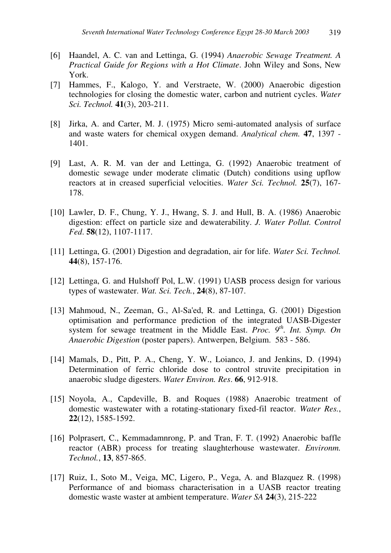- [6] Haandel, A. C. van and Lettinga, G. (1994) *Anaerobic Sewage Treatment. A Practical Guide for Regions with a Hot Climate*. John Wiley and Sons, New York.
- [7] Hammes, F., Kalogo, Y. and Verstraete, W. (2000) Anaerobic digestion technologies for closing the domestic water, carbon and nutrient cycles. *Water Sci. Technol.* **41**(3), 203-211.
- [8] Jirka, A. and Carter, M. J. (1975) Micro semi-automated analysis of surface and waste waters for chemical oxygen demand. *Analytical chem.* **47**, 1397 - 1401.
- [9] Last, A. R. M. van der and Lettinga, G. (1992) Anaerobic treatment of domestic sewage under moderate climatic (Dutch) conditions using upflow reactors at in creased superficial velocities. *Water Sci. Technol.* **25**(7), 167- 178.
- [10] Lawler, D. F., Chung, Y. J., Hwang, S. J. and Hull, B. A. (1986) Anaerobic digestion: effect on particle size and dewaterability. *J. Water Pollut. Control Fed*. **58**(12), 1107-1117.
- [11] Lettinga, G. (2001) Digestion and degradation, air for life. *Water Sci. Technol.* **44**(8), 157-176.
- [12] Lettinga, G. and Hulshoff Pol, L.W. (1991) UASB process design for various types of wastewater. *Wat. Sci. Tech.*, **24**(8), 87-107.
- [13] Mahmoud, N., Zeeman, G., Al-Sa'ed, R. and Lettinga, G. (2001) Digestion optimisation and performance prediction of the integrated UASB-Digester system for sewage treatment in the Middle East. *Proc. 9 th . Int. Symp. On Anaerobic Digestion* (poster papers). Antwerpen, Belgium. 583 - 586.
- [14] Mamals, D., Pitt, P. A., Cheng, Y. W., Loianco, J. and Jenkins, D. (1994) Determination of ferric chloride dose to control struvite precipitation in anaerobic sludge digesters. *Water Environ. Res*. **66**, 912-918.
- [15] Noyola, A., Capdeville, B. and Roques (1988) Anaerobic treatment of domestic wastewater with a rotating-stationary fixed-fil reactor. *Water Res.*, **22**(12), 1585-1592.
- [16] Polprasert, C., Kemmadamnrong, P. and Tran, F. T. (1992) Anaerobic baffle reactor (ABR) process for treating slaughterhouse wastewater. *Environm. Technol.*, **13**, 857-865.
- [17] Ruiz, I., Soto M., Veiga, MC, Ligero, P., Vega, A. and Blazquez R. (1998) Performance of and biomass characterisation in a UASB reactor treating domestic waste waster at ambient temperature. *Water SA* **24**(3), 215-222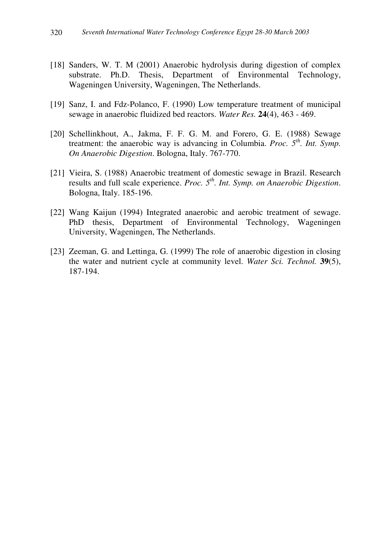- [18] Sanders, W. T. M (2001) Anaerobic hydrolysis during digestion of complex substrate. Ph.D. Thesis, Department of Environmental Technology, Wageningen University, Wageningen, The Netherlands.
- [19] Sanz, I. and Fdz-Polanco, F. (1990) Low temperature treatment of municipal sewage in anaerobic fluidized bed reactors. *Water Res.* **24**(4), 463 - 469.
- [20] Schellinkhout, A., Jakma, F. F. G. M. and Forero, G. E. (1988) Sewage treatment: the anaerobic way is advancing in Columbia. *Proc. 5 th . Int. Symp. On Anaerobic Digestion*. Bologna, Italy. 767-770.
- [21] Vieira, S. (1988) Anaerobic treatment of domestic sewage in Brazil. Research results and full scale experience. *Proc. 5 th . Int. Symp. on Anaerobic Digestion*. Bologna, Italy. 185-196.
- [22] Wang Kaijun (1994) Integrated anaerobic and aerobic treatment of sewage. PhD thesis, Department of Environmental Technology, Wageningen University, Wageningen, The Netherlands.
- [23] Zeeman, G. and Lettinga, G. (1999) The role of anaerobic digestion in closing the water and nutrient cycle at community level. *Water Sci. Technol.* **39**(5), 187-194.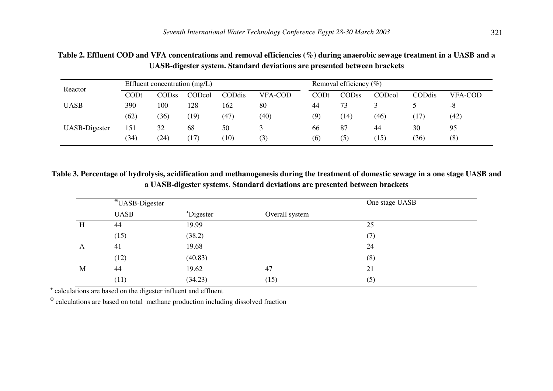| Reactor       | Effluent concentration (mg/L) |              |        |        | Removal efficiency $(\%)$ |      |              |        |        |                |
|---------------|-------------------------------|--------------|--------|--------|---------------------------|------|--------------|--------|--------|----------------|
|               | CODt                          | <b>CODss</b> | CODcol | CODdis | <b>VFA-COD</b>            | CODt | <b>CODss</b> | CODcol | CODdis | <b>VFA-COD</b> |
| <b>UASB</b>   | 390                           | 100          | 128    | 162    | 80                        | 44   | 73           |        |        | -8             |
|               | (62)                          | (36)         | (19)   | (47)   | (40)                      | (9)  | (14)         | (46)   | (17)   | (42)           |
| UASB-Digester | 151                           | 32           | 68     | 50     |                           | 66   | 87           | 44     | 30     | 95             |
|               | (34)                          | (24)         | (17)   | (10)   | (3)                       | (6)  | (5)          | (15)   | (36)   | (8)            |

Table 2. Effluent COD and VFA concentrations and removal efficiencies (%) during anaerobic sewage treatment in a UASB and a **UASB-digester system. Standard deviations are presented between brackets**

Table 3. Percentage of hydrolysis, acidification and methanogenesis during the treatment of domestic sewage in a one stage UASB and **a UASB-digester systems. Standard deviations are presented between brackets**

|   | <sup>⊕</sup> UASB-Digester |           | One stage UASB |     |  |
|---|----------------------------|-----------|----------------|-----|--|
|   | <b>UASB</b>                | *Digester | Overall system |     |  |
| H | 44                         | 19.99     |                | 25  |  |
|   | (15)                       | (38.2)    |                | (7) |  |
| A | 41                         | 19.68     |                | 24  |  |
|   | (12)                       | (40.83)   |                | (8) |  |
| M | 44                         | 19.62     | 47             | 21  |  |
|   | (11)                       | (34.23)   | (15)           | (5) |  |

+ calculations are based on the digester influent and effluent

 $\Phi$  calculations are based on total methane production including dissolved fraction